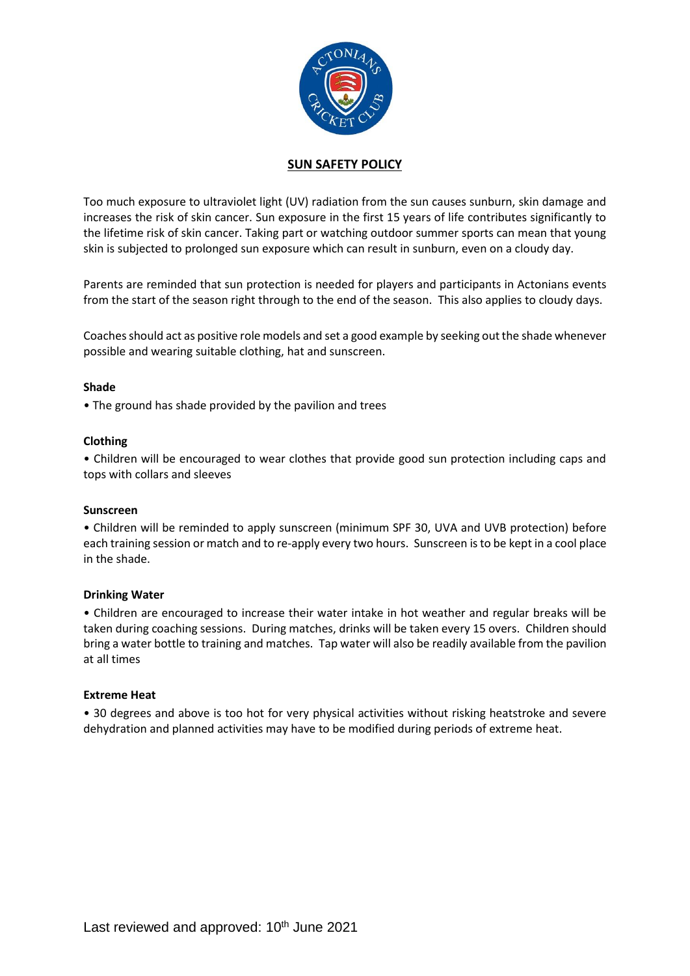

## **SUN SAFETY POLICY**

Too much exposure to ultraviolet light (UV) radiation from the sun causes sunburn, skin damage and increases the risk of skin cancer. Sun exposure in the first 15 years of life contributes significantly to the lifetime risk of skin cancer. Taking part or watching outdoor summer sports can mean that young skin is subjected to prolonged sun exposure which can result in sunburn, even on a cloudy day.

Parents are reminded that sun protection is needed for players and participants in Actonians events from the start of the season right through to the end of the season. This also applies to cloudy days.

Coaches should act as positive role models and set a good example by seeking out the shade whenever possible and wearing suitable clothing, hat and sunscreen.

## **Shade**

• The ground has shade provided by the pavilion and trees

## **Clothing**

• Children will be encouraged to wear clothes that provide good sun protection including caps and tops with collars and sleeves

#### **Sunscreen**

• Children will be reminded to apply sunscreen (minimum SPF 30, UVA and UVB protection) before each training session or match and to re-apply every two hours. Sunscreen is to be kept in a cool place in the shade.

#### **Drinking Water**

• Children are encouraged to increase their water intake in hot weather and regular breaks will be taken during coaching sessions. During matches, drinks will be taken every 15 overs. Children should bring a water bottle to training and matches. Tap water will also be readily available from the pavilion at all times

#### **Extreme Heat**

• 30 degrees and above is too hot for very physical activities without risking heatstroke and severe dehydration and planned activities may have to be modified during periods of extreme heat.